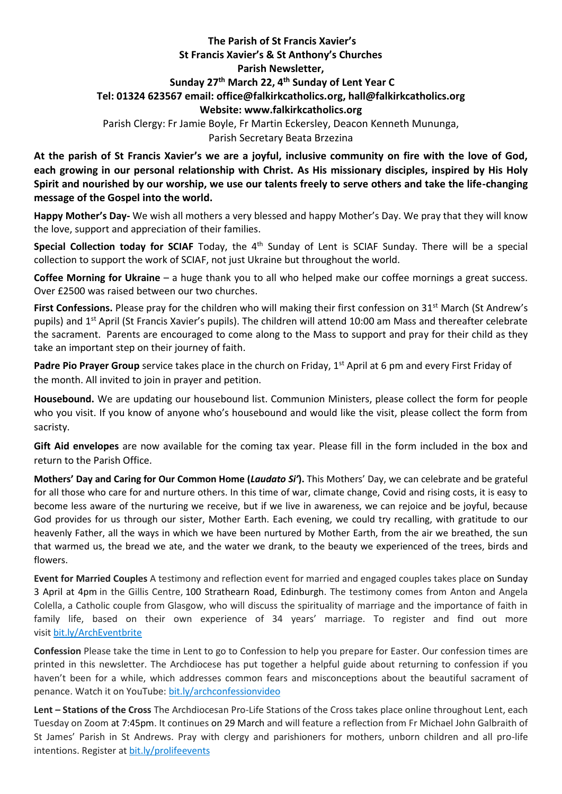## **The Parish of St Francis Xavier's St Francis Xavier's & St Anthony's Churches Parish Newsletter, Sunday 27 th March 22, 4 th Sunday of Lent Year C Tel: 01324 623567 email: office@falkirkcatholics.org, [hall@falkirkcatholics.org](mailto:hall@falkirkcatholics.org) Website: [www.falkirkcatholics.org](http://www.falkirkcatholics.org/)**  Parish Clergy: Fr Jamie Boyle, Fr Martin Eckersley, Deacon Kenneth Mununga,

Parish Secretary Beata Brzezina

**At the parish of St Francis Xavier's we are a joyful, inclusive community on fire with the love of God, each growing in our personal relationship with Christ. As His missionary disciples, inspired by His Holy Spirit and nourished by our worship, we use our talents freely to serve others and take the life-changing message of the Gospel into the world.** 

**Happy Mother's Day-** We wish all mothers a very blessed and happy Mother's Day. We pray that they will know the love, support and appreciation of their families.

Special Collection today for SCIAF Today, the 4<sup>th</sup> Sunday of Lent is SCIAF Sunday. There will be a special collection to support the work of SCIAF, not just Ukraine but throughout the world.

**Coffee Morning for Ukraine** – a huge thank you to all who helped make our coffee mornings a great success. Over £2500 was raised between our two churches.

**First Confessions.** Please pray for the children who will making their first confession on 31<sup>st</sup> March (St Andrew's pupils) and 1<sup>st</sup> April (St Francis Xavier's pupils). The children will attend 10:00 am Mass and thereafter celebrate the sacrament. Parents are encouraged to come along to the Mass to support and pray for their child as they take an important step on their journey of faith.

Padre Pio Prayer Group service takes place in the church on Friday, 1<sup>st</sup> April at 6 pm and every First Friday of the month. All invited to join in prayer and petition.

**Housebound.** We are updating our housebound list. Communion Ministers, please collect the form for people who you visit. If you know of anyone who's housebound and would like the visit, please collect the form from sacristy.

**Gift Aid envelopes** are now available for the coming tax year. Please fill in the form included in the box and return to the Parish Office.

**Mothers' Day and Caring for Our Common Home (***Laudato Si'***).** This Mothers' Day, we can celebrate and be grateful for all those who care for and nurture others. In this time of war, climate change, Covid and rising costs, it is easy to become less aware of the nurturing we receive, but if we live in awareness, we can rejoice and be joyful, because God provides for us through our sister, Mother Earth. Each evening, we could try recalling, with gratitude to our heavenly Father, all the ways in which we have been nurtured by Mother Earth, from the air we breathed, the sun that warmed us, the bread we ate, and the water we drank, to the beauty we experienced of the trees, birds and flowers.

**Event for Married Couples** A testimony and reflection event for married and engaged couples takes place on Sunday 3 April at 4pm in the Gillis Centre, 100 Strathearn Road, Edinburgh. The testimony comes from Anton and Angela Colella, a Catholic couple from Glasgow, who will discuss the spirituality of marriage and the importance of faith in family life, based on their own experience of 34 years' marriage. To register and find out more visit [bit.ly/ArchEventbrite](https://www.eventbrite.co.uk/e/testimony-and-holy-hour-with-anton-and-angela-colella-tickets-251074569797?aff=ebdsoporgprofile)

**Confession** Please take the time in Lent to go to Confession to help you prepare for Easter. Our confession times are printed in this newsletter. The Archdiocese has put together a helpful guide about returning to confession if you haven't been for a while, which addresses common fears and misconceptions about the beautiful sacrament of penance. Watch it on YouTube: [bit.ly/archconfessionvideo](https://bit.ly/archconfessionvideo)

**Lent – Stations of the Cross** The Archdiocesan Pro-Life Stations of the Cross takes place online throughout Lent, each Tuesday on Zoom at 7:45pm. It continues on 29 March and will feature a reflection from Fr Michael John Galbraith of St James' Parish in St Andrews. Pray with clergy and parishioners for mothers, unborn children and all pro-life intentions. Register at [bit.ly/prolifeevents](https://www.eventbrite.co.uk/cc/pro-life-events-150559)